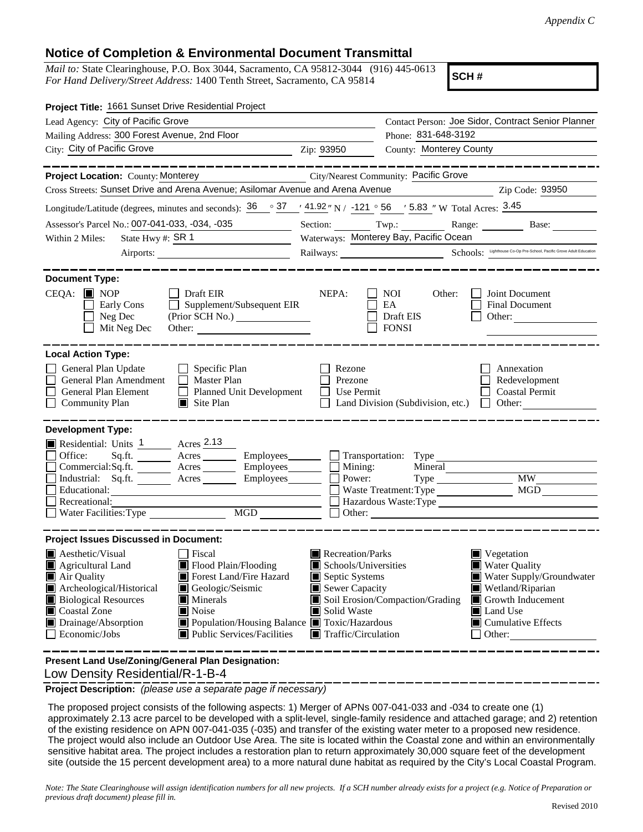## **Notice of Completion & Environmental Document Transmittal**

*Mail to:* State Clearinghouse, P.O. Box 3044, Sacramento, CA 95812-3044 (916) 445-0613 *For Hand Delivery/Street Address:* 1400 Tenth Street, Sacramento, CA 95814

**SCH #**

| Project Title: 1661 Sunset Drive Residential Project                                                                                                                                                                                                                                           |                                                                                                                                                                                      |                                                                                                                                                  |                                                                                          |                                                                                                                                                                                   |  |
|------------------------------------------------------------------------------------------------------------------------------------------------------------------------------------------------------------------------------------------------------------------------------------------------|--------------------------------------------------------------------------------------------------------------------------------------------------------------------------------------|--------------------------------------------------------------------------------------------------------------------------------------------------|------------------------------------------------------------------------------------------|-----------------------------------------------------------------------------------------------------------------------------------------------------------------------------------|--|
| Lead Agency: City of Pacific Grove                                                                                                                                                                                                                                                             |                                                                                                                                                                                      | Contact Person: Joe Sidor, Contract Senior Planner                                                                                               |                                                                                          |                                                                                                                                                                                   |  |
| Mailing Address: 300 Forest Avenue, 2nd Floor                                                                                                                                                                                                                                                  |                                                                                                                                                                                      | Phone: 831-648-3192                                                                                                                              |                                                                                          |                                                                                                                                                                                   |  |
| City: City of Pacific Grove                                                                                                                                                                                                                                                                    | <u> 1980 - Johann Barn, mars eta bainar eta baina eta baina eta baina eta baina eta baina eta baina eta baina e</u>                                                                  | Zip: 93950                                                                                                                                       | <b>County: Monterey County</b>                                                           |                                                                                                                                                                                   |  |
|                                                                                                                                                                                                                                                                                                | ———————                                                                                                                                                                              |                                                                                                                                                  |                                                                                          |                                                                                                                                                                                   |  |
| Project Location: County: Monterey                                                                                                                                                                                                                                                             |                                                                                                                                                                                      |                                                                                                                                                  | City/Nearest Community: Pacific Grove                                                    |                                                                                                                                                                                   |  |
| Cross Streets: Sunset Drive and Arena Avenue; Asilomar Avenue and Arena Avenue                                                                                                                                                                                                                 |                                                                                                                                                                                      |                                                                                                                                                  |                                                                                          | Zip Code: 93950                                                                                                                                                                   |  |
| Longitude/Latitude (degrees, minutes and seconds): $36 \degree$ $37 \degree$ $41.92 \degree$ N / $-121 \degree$ 56 $\degree$ 5.83 $\degree$ W Total Acres: $3.45 \degree$                                                                                                                      |                                                                                                                                                                                      |                                                                                                                                                  |                                                                                          |                                                                                                                                                                                   |  |
| Assessor's Parcel No.: 007-041-033, -034, -035                                                                                                                                                                                                                                                 |                                                                                                                                                                                      |                                                                                                                                                  |                                                                                          | Section: Twp.: Range: Base:                                                                                                                                                       |  |
| State Hwy #: SR 1<br>Within 2 Miles:<br><u> 1989 - Johann Barbara, martin e</u>                                                                                                                                                                                                                |                                                                                                                                                                                      | Waterways: Monterey Bay, Pacific Ocean                                                                                                           |                                                                                          |                                                                                                                                                                                   |  |
|                                                                                                                                                                                                                                                                                                |                                                                                                                                                                                      | Railways: Schools: Lighthouse Co-Op Pre-School, Pacific Grove Adult Education                                                                    |                                                                                          |                                                                                                                                                                                   |  |
| <b>Document Type:</b>                                                                                                                                                                                                                                                                          |                                                                                                                                                                                      |                                                                                                                                                  |                                                                                          |                                                                                                                                                                                   |  |
| $CEQA:$ MOP<br>Early Cons<br>Neg Dec<br>$\blacksquare$<br>Mit Neg Dec                                                                                                                                                                                                                          | $\Box$ Draft EIR<br>$\Box$ Supplement/Subsequent EIR<br>Other:                                                                                                                       | NEPA:                                                                                                                                            | NOI 11<br>Other:<br>EA<br>Draft EIS<br><b>FONSI</b>                                      | Joint Document<br><b>Final Document</b><br>Other: $\qquad \qquad$                                                                                                                 |  |
| <b>Local Action Type:</b><br>General Plan Update<br>General Plan Amendment<br>General Plan Element<br><b>Community Plan</b>                                                                                                                                                                    | $\Box$ Specific Plan<br>$\Box$ Master Plan<br>Planned Unit Development<br>$\Box$ Site Plan                                                                                           | Rezone<br>Prezone<br>Use Permit<br>$\perp$                                                                                                       | Land Division (Subdivision, etc.) $\Box$ Other:                                          | Annexation<br>Redevelopment<br><b>Coastal Permit</b>                                                                                                                              |  |
| <b>Development Type:</b><br>Residential: Units 1 Acres 2.13<br>$Sq.fit.$ Acres<br>Office:<br>Commercial:Sq.ft. ________ Acres _________ Employees ________ $\Box$<br>Industrial: Sq.ft. _______ Acres _______ Employees _______<br>Educational:<br>Recreational:<br>Water Facilities: Type MGD |                                                                                                                                                                                      | Mining:<br>Power:                                                                                                                                | Employees_________ _ Transportation: Type __________<br>Mineral<br>Waste Treatment: Type | <b>MW</b><br>MGD<br>Hazardous Waste: Type                                                                                                                                         |  |
| <b>Project Issues Discussed in Document:</b>                                                                                                                                                                                                                                                   |                                                                                                                                                                                      |                                                                                                                                                  |                                                                                          |                                                                                                                                                                                   |  |
| $\blacksquare$ Aesthetic/Visual<br><b>E</b> Agricultural Land<br>Air Quality<br>Archeological/Historical<br><b>Biological Resources</b><br>Coastal Zone<br>Drainage/Absorption<br>Economic/Jobs                                                                                                | Fiscal<br>Flood Plain/Flooding<br>Forest Land/Fire Hazard<br>Geologic/Seismic<br>Minerals<br>Noise<br>■ Population/Housing Balance ■ Toxic/Hazardous<br>■ Public Services/Facilities | $\blacksquare$ Recreation/Parks<br>Schools/Universities<br>Septic Systems<br>Sewer Capacity<br>Solid Waste<br>$\blacksquare$ Traffic/Circulation | Soil Erosion/Compaction/Grading<br>------------------                                    | $\blacksquare$ Vegetation<br><b>Water Quality</b><br>Water Supply/Groundwater<br>Wetland/Riparian<br>Growth Inducement<br>Land Use<br>$\blacksquare$ Cumulative Effects<br>Other: |  |
| Present Land Use/Zoning/General Plan Designation:                                                                                                                                                                                                                                              |                                                                                                                                                                                      |                                                                                                                                                  |                                                                                          |                                                                                                                                                                                   |  |

Low Density Residential/R-1-B-4

**Project Description:** *(please use a separate page if necessary)*

 The proposed project consists of the following aspects: 1) Merger of APNs 007-041-033 and -034 to create one (1) approximately 2.13 acre parcel to be developed with a split-level, single-family residence and attached garage; and 2) retention of the existing residence on APN 007-041-035 (-035) and transfer of the existing water meter to a proposed new residence. The project would also include an Outdoor Use Area. The site is located within the Coastal zone and within an environmentally sensitive habitat area. The project includes a restoration plan to return approximately 30,000 square feet of the development site (outside the 15 percent development area) to a more natural dune habitat as required by the City's Local Coastal Program.

*Note: The State Clearinghouse will assign identification numbers for all new projects. If a SCH number already exists for a project (e.g. Notice of Preparation or previous draft document) please fill in.*